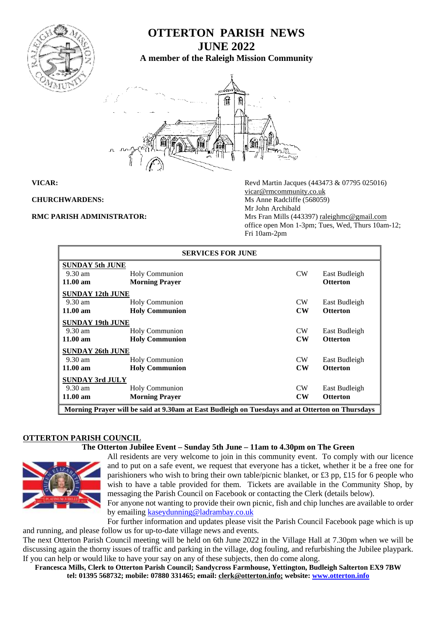

# **OTTERTON PARISH NEWS JUNE 2022 A member of the Raleigh Mission Community**



**VICAR: Revd Martin Jacques (443473 & 07795 025016) Revd Martin Jacques (443473 & 07795 025016)** [vicar@rmcommunity.co.uk](mailto:vicar@rmcommunity.co.uk) **CHURCHWARDENS:** Ms Anne Radcliffe (568059) Mr John Archibald **RMC PARISH ADMINISTRATOR:** Mrs Fran Mills (443397) [raleighmc@gmail.com](mailto:raleighmc@gmail.com) office open Mon 1-3pm; Tues, Wed, Thurs 10am-12; Fri 10am-2pm

| <b>SERVICES FOR JUNE</b>                                                                        |                       |                |                 |
|-------------------------------------------------------------------------------------------------|-----------------------|----------------|-----------------|
| <b>SUNDAY 5th JUNE</b>                                                                          |                       |                |                 |
| $9.30 \text{ am}$                                                                               | <b>Holy Communion</b> | <b>CW</b>      | East Budleigh   |
| $11.00 \text{ am}$                                                                              | <b>Morning Prayer</b> |                | <b>Otterton</b> |
| <b>SUNDAY 12th JUNE</b>                                                                         |                       |                |                 |
| $9.30 \text{ am}$                                                                               | <b>Holy Communion</b> | <b>CW</b>      | East Budleigh   |
| $11.00 \text{ am}$                                                                              | <b>Holy Communion</b> | $\mathbf{CW}$  | <b>Otterton</b> |
| <b>SUNDAY 19th JUNE</b>                                                                         |                       |                |                 |
| $9.30 \text{ am}$                                                                               | <b>Holy Communion</b> | CW             | East Budleigh   |
| $11.00 \text{ am}$                                                                              | <b>Holy Communion</b> | $\mathbf{CW}$  | <b>Otterton</b> |
| <b>SUNDAY 26th JUNE</b>                                                                         |                       |                |                 |
| $9.30 \text{ am}$                                                                               | <b>Holy Communion</b> | CW <sub></sub> | East Budleigh   |
| $11.00 \text{ am}$                                                                              | <b>Holy Communion</b> | $\mathbf{CW}$  | <b>Otterton</b> |
| <b>SUNDAY 3rd JULY</b>                                                                          |                       |                |                 |
| $9.30 \text{ am}$                                                                               | <b>Holy Communion</b> | <b>CW</b>      | East Budleigh   |
| $11.00 \text{ am}$                                                                              | <b>Morning Prayer</b> | $\mathbf{CW}$  | <b>Otterton</b> |
| Morning Prayer will be said at 9.30am at East Budleigh on Tuesdays and at Otterton on Thursdays |                       |                |                 |

# **OTTERTON PARISH COUNCIL**

#### **The Otterton Jubilee Event – Sunday 5th June – 11am to 4.30pm on The Green**



All residents are very welcome to join in this community event. To comply with our licence and to put on a safe event, we request that everyone has a ticket, whether it be a free one for parishioners who wish to bring their own table/picnic blanket, or £3 pp, £15 for 6 people who wish to have a table provided for them. Tickets are available in the Community Shop, by messaging the Parish Council on Facebook or contacting the Clerk (details below).

For anyone not wanting to provide their own picnic, fish and chip lunches are available to order by emailing [kaseydunning@ladrambay.co.uk](mailto:kaseydunning@ladrambay.co.uk)

For further information and updates please visit the Parish Council Facebook page which is up and running, and please follow us for up-to-date village news and events.

The next Otterton Parish Council meeting will be held on 6th June 2022 in the Village Hall at 7.30pm when we will be discussing again the thorny issues of traffic and parking in the village, dog fouling, and refurbishing the Jubilee playpark. If you can help or would like to have your say on any of these subjects, then do come along.

**Francesca Mills, Clerk to Otterton Parish Council; Sandycross Farmhouse, Yettington, Budleigh Salterton EX9 7BW tel: 01395 568732; mobile: 07880 331465; email: [clerk@otterton.info;](mailto:clerk@otterton.info;) website: [www.otterton.info](http://www.otterton.info)**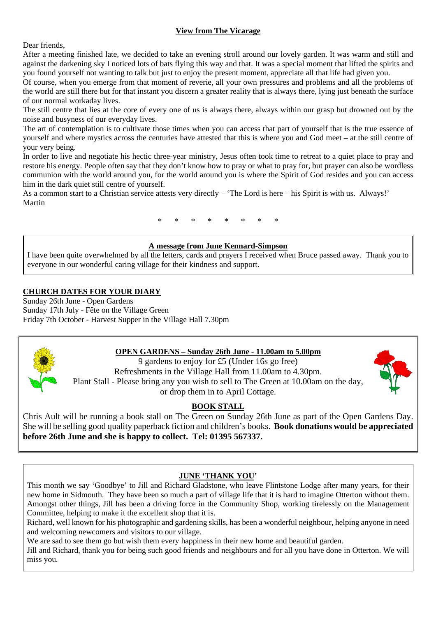# **View from The Vicarage**

Dear friends,

After a meeting finished late, we decided to take an evening stroll around our lovely garden. It was warm and still and against the darkening sky I noticed lots of bats flying this way and that. It was a special moment that lifted the spirits and you found yourself not wanting to talk but just to enjoy the present moment, appreciate all that life had given you.

Of course, when you emerge from that moment of reverie, all your own pressures and problems and all the problems of the world are still there but for that instant you discern a greater reality that is always there, lying just beneath the surface of our normal workaday lives.

The still centre that lies at the core of every one of us is always there, always within our grasp but drowned out by the noise and busyness of our everyday lives.

The art of contemplation is to cultivate those times when you can access that part of yourself that is the true essence of yourself and where mystics across the centuries have attested that this is where you and God meet – at the still centre of your very being.

In order to live and negotiate his hectic three-year ministry, Jesus often took time to retreat to a quiet place to pray and restore his energy. People often say that they don't know how to pray or what to pray for, but prayer can also be wordless communion with the world around you, for the world around you is where the Spirit of God resides and you can access him in the dark quiet still centre of yourself.

As a common start to a Christian service attests very directly – 'The Lord is here – his Spirit is with us. Always!' Martin

\* \* \* \* \* \* \* \*

### **A message from June Kennard-Simpson**

I have been quite overwhelmed by all the letters, cards and prayers I received when Bruce passed away. Thank you to everyone in our wonderful caring village for their kindness and support.

# **CHURCH DATES FOR YOUR DIARY**

Sunday 26th June - Open Gardens Sunday 17th July - Fête on the Village Green Friday 7th October - Harvest Supper in the Village Hall 7.30pm



# **OPEN GARDENS – Sunday 26th June - 11.00am to 5.00pm**

9 gardens to enjoy for £5 (Under 16s go free) Refreshments in the Village Hall from 11.00am to 4.30pm. Plant Stall - Please bring any you wish to sell to The Green at 10.00am on the day, or drop them in to April Cottage.



Chris Ault will be running a book stall on The Green on Sunday 26th June as part of the Open Gardens Day. She will be selling good quality paperback fiction and children's books. **Book donations would be appreciated before 26th June and she is happy to collect. Tel: 01395 567337.** 

# **JUNE 'THANK YOU'**

This month we say 'Goodbye' to Jill and Richard Gladstone, who leave Flintstone Lodge after many years, for their new home in Sidmouth. They have been so much a part of village life that it is hard to imagine Otterton without them. Amongst other things, Jill has been a driving force in the Community Shop, working tirelessly on the Management Committee, helping to make it the excellent shop that it is.

Richard, well known for his photographic and gardening skills, has been a wonderful neighbour, helping anyone in need and welcoming newcomers and visitors to our village.

We are sad to see them go but wish them every happiness in their new home and beautiful garden.

Jill and Richard, thank you for being such good friends and neighbours and for all you have done in Otterton. We will miss you.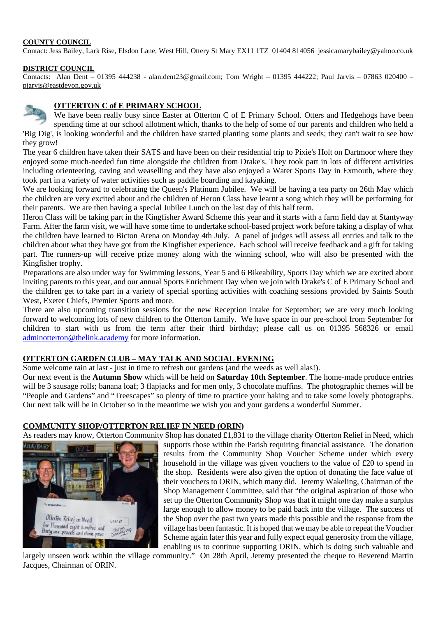### **COUNTY COUNCIL**

Contact: Jess Bailey, Lark Rise, Elsdon Lane, West Hill, Ottery St Mary EX11 1TZ 01404 814056 [jessicamarybailey@yahoo.co.uk](mailto:jessicamarybailey@yahoo.co.uk)

#### **DISTRICT COUNCIL**

Contacts: Alan Dent – 01395 444238 - [alan.dent23@gmail.com;](mailto:alan.dent23@gmail.com;) Tom Wright – 01395 444222; Paul Jarvis – 07863 020400 – [pjarvis@eastdevon.gov.uk](mailto:pjarvis@eastdevon.gov.uk)



# **OTTERTON C of E PRIMARY SCHOOL**

We have been really busy since Easter at Otterton C of E Primary School. Otters and Hedgehogs have been spending time at our school allotment which, thanks to the help of some of our parents and children who held a 'Big Dig', is looking wonderful and the children have started planting some plants and seeds; they can't wait to see how they grow!

The year 6 children have taken their SATS and have been on their residential trip to Pixie's Holt on Dartmoor where they enjoyed some much-needed fun time alongside the children from Drake's. They took part in lots of different activities including orienteering, caving and weaselling and they have also enjoyed a Water Sports Day in Exmouth, where they took part in a variety of water activities such as paddle boarding and kayaking.

We are looking forward to celebrating the Queen's Platinum Jubilee. We will be having a tea party on 26th May which the children are very excited about and the children of Heron Class have learnt a song which they will be performing for their parents. We are then having a special Jubilee Lunch on the last day of this half term.

Heron Class will be taking part in the Kingfisher Award Scheme this year and it starts with a farm field day at Stantyway Farm. After the farm visit, we will have some time to undertake school-based project work before taking a display of what the children have learned to Bicton Arena on Monday 4th July. A panel of judges will assess all entries and talk to the children about what they have got from the Kingfisher experience. Each school will receive feedback and a gift for taking part. The runners-up will receive prize money along with the winning school, who will also be presented with the Kingfisher trophy.

Preparations are also under way for Swimming lessons, Year 5 and 6 Bikeability, Sports Day which we are excited about inviting parents to this year, and our annual Sports Enrichment Day when we join with Drake's C of E Primary School and the children get to take part in a variety of special sporting activities with coaching sessions provided by Saints South West, Exeter Chiefs, Premier Sports and more.

There are also upcoming transition sessions for the new Reception intake for September; we are very much looking forward to welcoming lots of new children to the Otterton family. We have space in our pre-school from September for children to start with us from the term after their third birthday; please call us on 01395 568326 or email adminotterton@thelink.academy for more information.

# **OTTERTON GARDEN CLUB – MAY TALK AND SOCIAL EVENING**

Some welcome rain at last - just in time to refresh our gardens (and the weeds as well alas!).

Our next event is the **Autumn Show** which will be held on **Saturday 10th September**. The home-made produce entries will be 3 sausage rolls; banana loaf; 3 flapjacks and for men only, 3 chocolate muffins. The photographic themes will be "People and Gardens" and "Treescapes" so plenty of time to practice your baking and to take some lovely photographs. Our next talk will be in October so in the meantime we wish you and your gardens a wonderful Summer.

# **COMMUNITY SHOP/OTTERTON RELIEF IN NEED (ORIN)**

As readers may know, Otterton Community Shop has donated £1,831 to the village charity Otterton Relief in Need, which



supports those within the Parish requiring financial assistance. The donation results from the Community Shop Voucher Scheme under which every household in the village was given vouchers to the value of £20 to spend in the shop. Residents were also given the option of donating the face value of their vouchers to ORIN, which many did. Jeremy Wakeling, Chairman of the Shop Management Committee, said that "the original aspiration of those who set up the Otterton Community Shop was that it might one day make a surplus large enough to allow money to be paid back into the village. The success of the Shop over the past two years made this possible and the response from the village has been fantastic. It is hoped that we may be able to repeat the Voucher Scheme again later this year and fully expect equal generosity from the village, enabling us to continue supporting ORIN, which is doing such valuable and

largely unseen work within the village community." On 28th April, Jeremy presented the cheque to Reverend Martin Jacques, Chairman of ORIN.